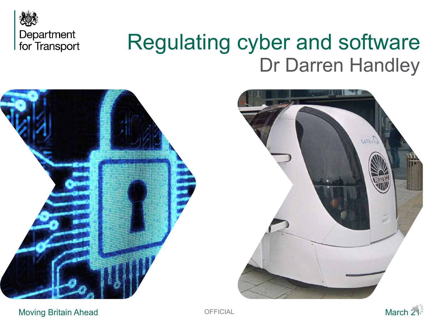

# Regulating cyber and software Dr Darren Handley





Moving Britain Ahead **March 21 March 21 March 21** 

**OFFICIAL**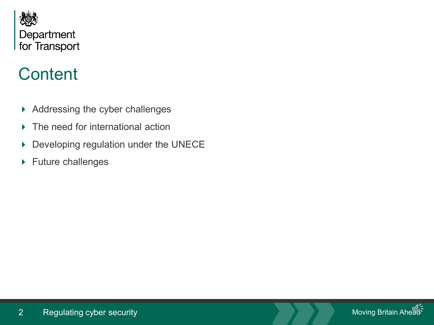

## **Content**

- Addressing the cyber challenges
- ▶ The need for international action
- Developing regulation under the UNECE
- ▶ Future challenges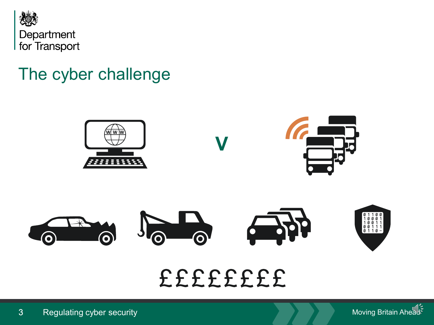

#### The cyber challenge



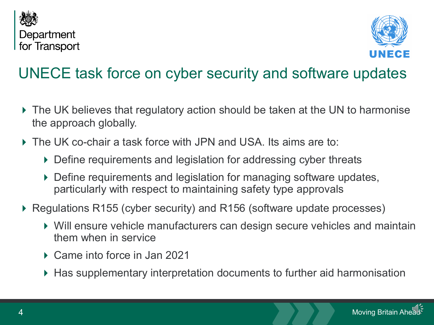



#### UNECE task force on cyber security and software updates

- The UK believes that regulatory action should be taken at the UN to harmonise the approach globally.
- The UK co-chair a task force with JPN and USA. Its aims are to:
	- ▶ Define requirements and legislation for addressing cyber threats
	- ▶ Define requirements and legislation for managing software updates, particularly with respect to maintaining safety type approvals
- ▶ Regulations R155 (cyber security) and R156 (software update processes)
	- Will ensure vehicle manufacturers can design secure vehicles and maintain them when in service
	- ▶ Came into force in Jan 2021
	- ▶ Has supplementary interpretation documents to further aid harmonisation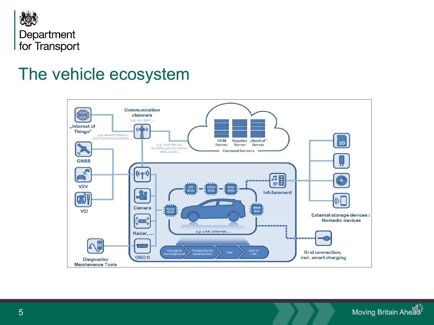

#### The vehicle ecosystem



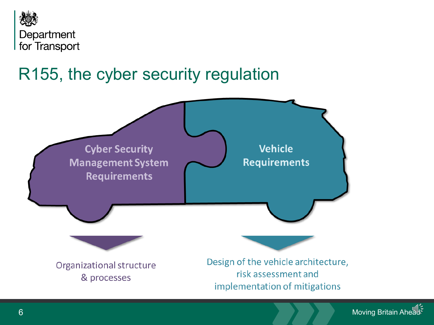

### R155, the cyber security regulation



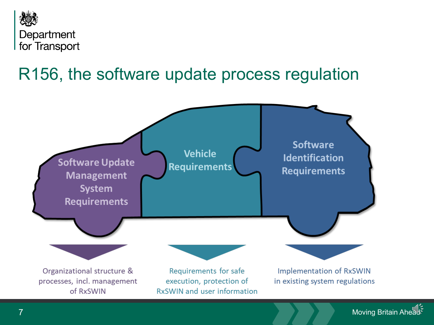

### R156, the software update process regulation



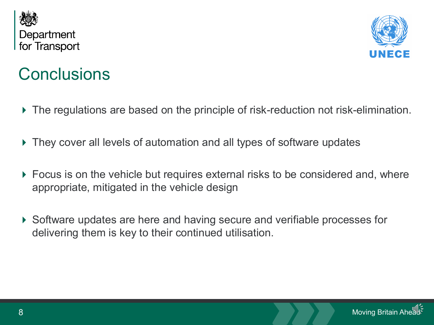



#### **Conclusions**

- The regulations are based on the principle of risk-reduction not risk-elimination.
- They cover all levels of automation and all types of software updates
- Focus is on the vehicle but requires external risks to be considered and, where appropriate, mitigated in the vehicle design
- ▶ Software updates are here and having secure and verifiable processes for delivering them is key to their continued utilisation.